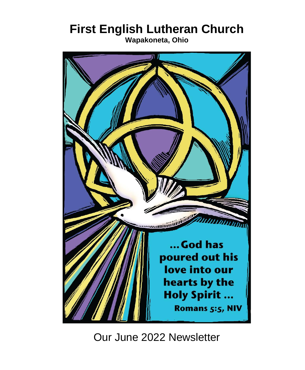# **First English Lutheran Church**

**Wapakoneta, Ohio**



Our June 2022 Newsletter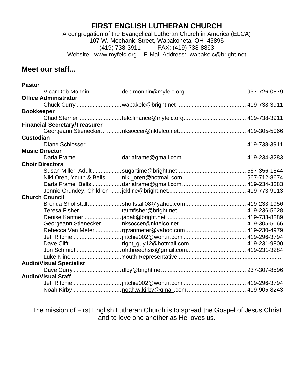## **FIRST ENGLISH LUTHERAN CHURCH**

A congregation of the Evangelical Lutheran Church in America (ELCA) 107 W. Mechanic Street, Wapakoneta, OH 45895 (419) 738-3911 FAX: (419) 738-8893 Website: [www.myfelc.org](http://www.myfelc.org/) E-Mail Address: wapakelc@bright.net

## **Meet our staff...**

| <b>Pastor</b>                        |                                                 |  |
|--------------------------------------|-------------------------------------------------|--|
|                                      |                                                 |  |
| <b>Office Administrator</b>          |                                                 |  |
|                                      |                                                 |  |
| <b>Bookkeeper</b>                    |                                                 |  |
|                                      |                                                 |  |
| <b>Financial Secretary/Treasurer</b> |                                                 |  |
|                                      |                                                 |  |
| Custodian                            |                                                 |  |
|                                      |                                                 |  |
| <b>Music Director</b>                |                                                 |  |
|                                      |                                                 |  |
| <b>Choir Directors</b>               |                                                 |  |
|                                      |                                                 |  |
|                                      |                                                 |  |
|                                      |                                                 |  |
|                                      |                                                 |  |
| <b>Church Council</b>                |                                                 |  |
|                                      |                                                 |  |
|                                      |                                                 |  |
|                                      |                                                 |  |
|                                      |                                                 |  |
|                                      |                                                 |  |
|                                      |                                                 |  |
|                                      | Dave Cliftright_guy12@hotmail.com  419-231-9800 |  |
|                                      |                                                 |  |
|                                      |                                                 |  |
| <b>Audio/Visual Specialist</b>       |                                                 |  |
|                                      |                                                 |  |
| <b>Audio/Visual Staff</b>            |                                                 |  |
|                                      |                                                 |  |
|                                      |                                                 |  |

The mission of First English Lutheran Church is to spread the Gospel of Jesus Christ and to love one another as He loves us.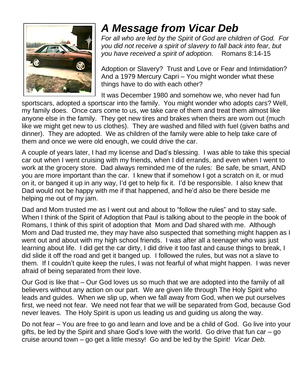

# *A Message from Vicar Deb*

*For all who are led by the Spirit of God are children of God. For you did not receive a spirit of slavery to fall back into fear, but you have received a spirit of adoption.* Romans 8:14-15

Adoption or Slavery? Trust and Love or Fear and Intimidation? And a 1979 Mercury Capri – You might wonder what these things have to do with each other?

It was December 1980 and somehow we, who never had fun

sportscars, adopted a sportscar into the family. You might wonder who adopts cars? Well, my family does. Once cars come to us, we take care of them and treat them almost like anyone else in the family. They get new tires and brakes when theirs are worn out (much like we might get new to us clothes). They are washed and filled with fuel (given baths and dinner). They are adopted. We as children of the family were able to help take care of them and once we were old enough, we could drive the car.

A couple of years later, I had my license and Dad's blessing. I was able to take this special car out when I went cruising with my friends, when I did errands, and even when I went to work at the grocery store. Dad always reminded me of the rules: Be safe, be smart, AND you are more important than the car. I knew that if somehow I got a scratch on it, or mud on it, or banged it up in any way, I'd get to help fix it. I'd be responsible. I also knew that Dad would not be happy with me if that happened, and he'd also be there beside me helping me out of my jam.

Dad and Mom trusted me as I went out and about to "follow the rules" and to stay safe. When I think of the Spirit of Adoption that Paul is talking about to the people in the book of Romans, I think of this spirit of adoption that Mom and Dad shared with me. Although Mom and Dad trusted me, they may have also suspected that something might happen as I went out and about with my high school friends. I was after all a teenager who was just learning about life. I did get the car dirty, I did drive it too fast and cause things to break, I did slide it off the road and get it banged up. I followed the rules, but was not a slave to them. If I couldn't quite keep the rules, I was not fearful of what might happen. I was never afraid of being separated from their love.

Our God is like that – Our God loves us so much that we are adopted into the family of all believers without any action on our part. We are given life through The Holy Spirit who leads and guides. When we slip up, when we fall away from God, when we put ourselves first, we need not fear. We need not fear that we will be separated from God, because God never leaves. The Holy Spirit is upon us leading us and guiding us along the way.

Do not fear – You are free to go and learn and love and be a child of God. Go live into your gifts, be led by the Spirit and share God's love with the world. Go drive that fun car – go cruise around town – go get a little messy! Go and be led by the Spirit! *Vicar Deb.*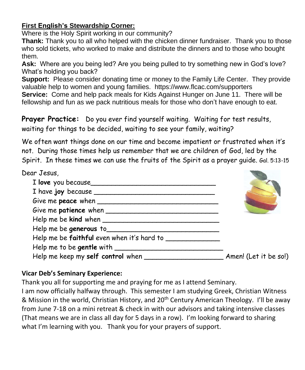## **First English's Stewardship Corner:**

Where is the Holy Spirit working in our community?

**Thank:** Thank you to all who helped with the chicken dinner fundraiser. Thank you to those who sold tickets, who worked to make and distribute the dinners and to those who bought them.

**Ask:** Where are you being led? Are you being pulled to try something new in God's love? What's holding you back?

**Support:** Please consider donating time or money to the Family Life Center. They provide valuable help to women and young families. https://www.flcac.com/supporters **Service:** Come and help pack meals for Kids Against Hunger on June 11. There will be fellowship and fun as we pack nutritious meals for those who don't have enough to eat.

**Prayer Practice:** Do you ever find yourself waiting. Waiting for test results, waiting for things to be decided, waiting to see your family, waiting?

We often want things done on our time and become impatient or frustrated when it's not. During those times help us remember that we are children of God, led by the Spirit. In these times we can use the fruits of the Spirit as a prayer guide. Gal. 5:13-15

| Dear Jesus,                                      |                       |
|--------------------------------------------------|-----------------------|
| I love you because                               |                       |
|                                                  |                       |
|                                                  |                       |
|                                                  |                       |
|                                                  |                       |
| Help me be generous to                           |                       |
| Help me be faithful even when it's hard to _____ |                       |
|                                                  |                       |
|                                                  | Amen! (Let it be so!) |

## **Vicar Deb's Seminary Experience:**

Thank you all for supporting me and praying for me as I attend Seminary.

I am now officially halfway through. This semester I am studying Greek, Christian Witness & Mission in the world, Christian History, and 20<sup>th</sup> Century American Theology. I'll be away from June 7-18 on a mini retreat & check in with our advisors and taking intensive classes (That means we are in class all day for 5 days in a row). I'm looking forward to sharing what I'm learning with you. Thank you for your prayers of support.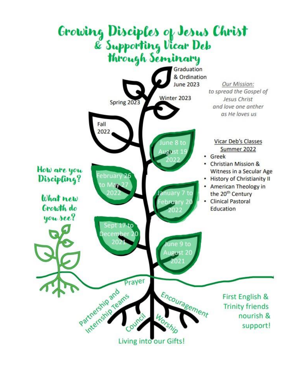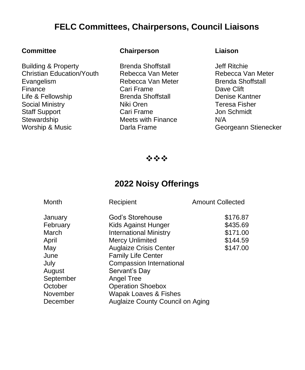## **FELC Committees, Chairpersons, Council Liaisons**

Building & Property **Brenda Shoffstall Brenda Shoffstall** Christian Education/Youth Rebecca Van Meter Rebecca Van Meter Evangelism Rebecca Van Meter Brenda Shoffstall Finance Cari Frame Dave Clift Life & Fellowship Brenda Shoffstall Denise Kantner Social Ministry **Niki Oren** Niki Oren Teresa Fisher Staff Support **Cari Frame** Cari Frame Jon Schmidt Stewardship Meets with Finance N/A<br>
Worship & Music Darla Frame Ceol Worship & Music **Darla Frame** Georgeann Stienecker

#### **Committee Chairperson Liaison**

❖❖❖

## **2022 Noisy Offerings**

| Recipient                     | <b>Amount Collected</b>                                   |  |
|-------------------------------|-----------------------------------------------------------|--|
| God's Storehouse              | \$176.87                                                  |  |
| Kids Against Hunger           | \$435.69                                                  |  |
| <b>International Ministry</b> | \$171.00                                                  |  |
| <b>Mercy Unlimited</b>        | \$144.59                                                  |  |
| <b>Auglaize Crisis Center</b> | \$147.00                                                  |  |
| <b>Family Life Center</b>     |                                                           |  |
| Compassion International      |                                                           |  |
| Servant's Day                 |                                                           |  |
| Angel Tree                    |                                                           |  |
| <b>Operation Shoebox</b>      |                                                           |  |
|                               |                                                           |  |
|                               |                                                           |  |
|                               | Wapak Loaves & Fishes<br>Auglaize County Council on Aging |  |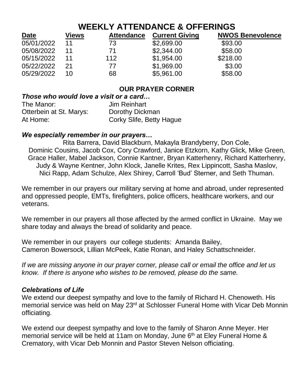## **WEEKLY ATTENDANCE & OFFERINGS**

| <b>Date</b> | Views | <b>Attendance</b> | <b>Current Giving</b> | <b>NWOS Benevolence</b> |
|-------------|-------|-------------------|-----------------------|-------------------------|
| 05/01/2022  | 11    | 73                | \$2,699.00            | \$93.00                 |
| 05/08/2022  | 11    | 71                | \$2,344.00            | \$58.00                 |
| 05/15/2022  | 11    | 112               | \$1,954.00            | \$218.00                |
| 05/22/2022  | 21    | 77                | \$1,969.00            | \$3.00                  |
| 05/29/2022  | 10    | 68                | \$5,961.00            | \$58.00                 |

## **OUR PRAYER CORNER**

#### *Those who would love a visit or a card…*

| The Manor:              | Jim Reinhart             |
|-------------------------|--------------------------|
| Otterbein at St. Marys: | Dorothy Dickman          |
| At Home:                | Corky Slife, Betty Hague |

### *We especially remember in our prayers…*

Rita Barrera, David Blackburn, Makayla Brandyberry, Don Cole, Dominic Cousins, Jacob Cox, Cory Crawford, Janice Etzkorn, Kathy Glick, Mike Green, Grace Haller, Mabel Jackson, Connie Kantner, Bryan Katterhenry, Richard Katterhenry, Judy & Wayne Kentner, John Klock, Janelle Krites, Rex Lippincott, Sasha Maslov, Nici Rapp, Adam Schulze, Alex Shirey, Carroll 'Bud' Sterner, and Seth Thuman.

We remember in our prayers our military serving at home and abroad, under represented and oppressed people, EMTs, firefighters, police officers, healthcare workers, and our veterans.

We remember in our prayers all those affected by the armed conflict in Ukraine. May we share today and always the bread of solidarity and peace.

We remember in our prayers our college students: Amanda Bailey, Cameron Bowersock, Lillian McPeek, Katie Ronan, and Haley Schattschneider.

*If we are missing anyone in our prayer corner, please call or email the office and let us know. If there is anyone who wishes to be removed, please do the same.*

#### *Celebrations of Life*

We extend our deepest sympathy and love to the family of Richard H. Chenoweth. His memorial service was held on May 23<sup>rd</sup> at Schlosser Funeral Home with Vicar Deb Monnin officiating.

We extend our deepest sympathy and love to the family of Sharon Anne Meyer. Her memorial service will be held at 11am on Monday, June 6<sup>th</sup> at Eley Funeral Home & Crematory, with Vicar Deb Monnin and Pastor Steven Nelson officiating.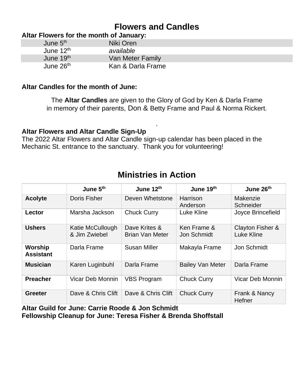## **Flowers and Candles**

### **Altar Flowers for the month of January:**

| June 5 <sup>th</sup>  | Niki Oren         |  |
|-----------------------|-------------------|--|
| June $12^{\text{th}}$ | available         |  |
| June 19th             | Van Meter Family  |  |
| June 26 <sup>th</sup> | Kan & Darla Frame |  |

#### **Altar Candles for the month of June:**

The **Altar Candles** are given to the Glory of God by Ken & Darla Frame in memory of their parents, Don & Betty Frame and Paul & Norma Rickert.

.

### **Altar Flowers and Altar Candle Sign-Up**

The 2022 Altar Flowers and Altar Candle sign-up calendar has been placed in the Mechanic St. entrance to the sanctuary. Thank you for volunteering!

|                             | June 5 <sup>th</sup>              | June 12th                        | June 19th                  | June 26th                      |
|-----------------------------|-----------------------------------|----------------------------------|----------------------------|--------------------------------|
| <b>Acolyte</b>              | Doris Fisher                      | Deven Whetstone                  | Harrison<br>Anderson       | Makenzie<br>Schneider          |
| Lector                      | Marsha Jackson                    | <b>Chuck Curry</b>               | Luke Kline                 | Joyce Brincefield              |
| <b>Ushers</b>               | Katie McCullough<br>& Jim Zwiebel | Dave Krites &<br>Brian Van Meter | Ken Frame &<br>Jon Schmidt | Clayton Fisher &<br>Luke Kline |
| Worship<br><b>Assistant</b> | Darla Frame                       | Susan Miller                     | Makayla Frame              | Jon Schmidt                    |
| <b>Musician</b>             | Karen Luginbuhl                   | Darla Frame                      | <b>Bailey Van Meter</b>    | Darla Frame                    |
| <b>Preacher</b>             | Vicar Deb Monnin                  | <b>VBS Program</b>               | <b>Chuck Curry</b>         | Vicar Deb Monnin               |
| Greeter                     | Dave & Chris Clift                | Dave & Chris Clift               | <b>Chuck Curry</b>         | Frank & Nancy<br>Hefner        |

## **Ministries in Action**

**Altar Guild for June: Carrie Roode & Jon Schmidt Fellowship Cleanup for June: Teresa Fisher & Brenda Shoffstall**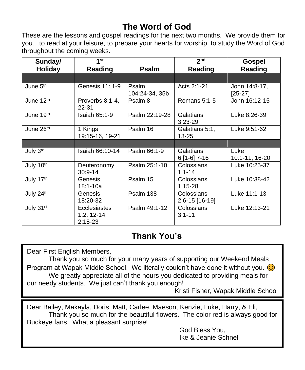## **The Word of God**

These are the lessons and gospel readings for the next two months. We provide them for you…to read at your leisure, to prepare your hearts for worship, to study the Word of God throughout the coming weeks.

| Sunday/               | 1 <sup>st</sup>                                   |                         | 2 <sub>nd</sub>              | Gospel                     |
|-----------------------|---------------------------------------------------|-------------------------|------------------------------|----------------------------|
| <b>Holiday</b>        | Reading                                           | <b>Psalm</b>            | Reading                      | Reading                    |
|                       |                                                   |                         |                              |                            |
| June 5 <sup>th</sup>  | Genesis 11: 1-9                                   | Psalm<br>104:24-34, 35b | Acts 2:1-21                  | John 14:8-17,<br>$[25-27]$ |
| June 12th             | Proverbs 8:1-4,<br>22-31                          | Psalm 8                 | Romans $5:1-5$               | John 16:12-15              |
| June 19th             | Isaiah $65:1-9$                                   | Psalm 22:19-28          | Galatians<br>$3:23-29$       | Luke 8:26-39               |
| June 26 <sup>th</sup> | 1 Kings<br>19:15-16, 19-21                        | Psalm 16                | Galatians 5:1,<br>13-25      | Luke 9:51-62               |
|                       |                                                   |                         |                              |                            |
| July 3rd              | Isaiah 66:10-14                                   | Psalm 66:1-9            | Galatians<br>$6:[1-6]$ 7-16  | Luke<br>10:1-11, 16-20     |
| July 10th             | Deuteronomy<br>$30:9 - 14$                        | Psalm 25:1-10           | Colossians<br>$1:1 - 14$     | Luke 10:25-37              |
| July 17th             | Genesis<br>18:1-10a                               | Psalm 15                | Colossians<br>$1:15-28$      | Luke 10:38-42              |
| July 24th             | Genesis<br>18:20-32                               | Psalm 138               | Colossians<br>2:6-15 [16-19] | Luke 11:1-13               |
| July 31st             | <b>Ecclesiastes</b><br>$1:2, 12-14,$<br>$2:18-23$ | Psalm 49:1-12           | Colossians<br>$3:1 - 11$     | Luke 12:13-21              |

## **Thank You's**

Dear First English Members,

Thank you so much for your many years of supporting our Weekend Meals Program at Wapak Middle School. We literally couldn't have done it without you.  $\odot$ We greatly appreciate all of the hours you dedicated to providing meals for our needy students. We just can't thank you enough!

Kristi Fisher, Wapak Middle School

Dear Bailey, Makayla, Doris, Matt, Carlee, Maeson, Kenzie, Luke, Harry, & Eli, Thank you so much for the beautiful flowers. The color red is always good for Buckeye fans. What a pleasant surprise!

God Bless You, Ike & Jeanie Schnell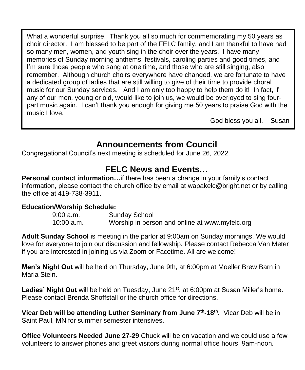What a wonderful surprise! Thank you all so much for commemorating my 50 years as choir director. I am blessed to be part of the FELC family, and I am thankful to have had so many men, women, and youth sing in the choir over the years. I have many memories of Sunday morning anthems, festivals, caroling parties and good times, and I'm sure those people who sang at one time, and those who are still singing, also remember. Although church choirs everywhere have changed, we are fortunate to have a dedicated group of ladies that are still willing to give of their time to provide choral music for our Sunday services. And I am only too happy to help them do it! In fact, if any of our men, young or old, would like to join us, we would be overjoyed to sing fourpart music again. I can't thank you enough for giving me 50 years to praise God with the music I love.

God bless you all. Susan

## **Announcements from Council**

Congregational Council's next meeting is scheduled for June 26, 2022.

## **FELC News and Events…**

**Personal contact information…**if there has been a change in your family's contact information, please contact the church office by email at [wapakelc@bright.net](mailto:wapakelc@bright.net) or by calling the office at 419-738-3911.

### **Education/Worship Schedule:**

| $9:00$ a.m.  | <b>Sunday School</b>                           |
|--------------|------------------------------------------------|
| $10:00$ a.m. | Worship in person and online at www.myfelc.org |

**Adult Sunday School** is meeting in the parlor at 9:00am on Sunday mornings. We would love for everyone to join our discussion and fellowship. Please contact Rebecca Van Meter if you are interested in joining us via Zoom or Facetime. All are welcome!

**Men's Night Out** will be held on Thursday, June 9th, at 6:00pm at Moeller Brew Barn in Maria Stein.

Ladies' Night Out will be held on Tuesday, June 21<sup>st</sup>, at 6:00pm at Susan Miller's home. Please contact Brenda Shoffstall or the church office for directions.

**Vicar Deb will be attending Luther Seminary from June 7th -18th .** Vicar Deb will be in Saint Paul, MN for summer semester intensives.

**Office Volunteers Needed June 27-29** Chuck will be on vacation and we could use a few volunteers to answer phones and greet visitors during normal office hours, 9am-noon.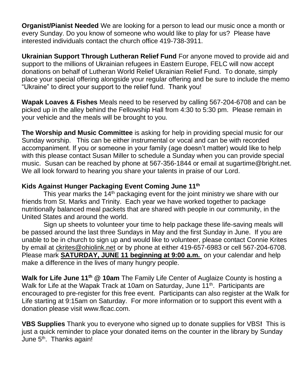**Organist/Pianist Needed** We are looking for a person to lead our music once a month or every Sunday. Do you know of someone who would like to play for us? Please have interested individuals contact the church office 419-738-3911.

**Ukrainian Support Through Lutheran Relief Fund** For anyone moved to provide aid and support to the millions of Ukrainian refugees in Eastern Europe, FELC will now accept donations on behalf of Lutheran World Relief Ukrainian Relief Fund. To donate, simply place your special offering alongside your regular offering and be sure to include the memo "Ukraine" to direct your support to the relief fund. Thank you!

**Wapak Loaves & Fishes** Meals need to be reserved by calling 567-204-6708 and can be picked up in the alley behind the Fellowship Hall from 4:30 to 5:30 pm. Please remain in your vehicle and the meals will be brought to you.

**The Worship and Music Committee** is asking for help in providing special music for our Sunday worship. This can be either instrumental or vocal and can be with recorded accompaniment. If you or someone in your family (age doesn't matter) would like to help with this please contact Susan Miller to schedule a Sunday when you can provide special music. Susan can be reached by phone at 567-356-1844 or email at sugartime@bright.net. We all look forward to hearing you share your talents in praise of our Lord.

### **Kids Against Hunger Packaging Event Coming June 11th**

This year marks the  $14<sup>th</sup>$  packaging event for the joint ministry we share with our friends from St. Marks and Trinity. Each year we have worked together to package nutritionally balanced meal packets that are shared with people in our community, in the United States and around the world.

Sign up sheets to volunteer your time to help package these life-saving meals will be passed around the last three Sundays in May and the first Sunday in June. If you are unable to be in church to sign up and would like to volunteer, please contact Connie Krites by email at [ckrites@ohiolink.net](mailto:ckrites@ohiolink.net) or by phone at either 419-657-6983 or cell 567-204-6708. Please mark **SATURDAY, JUNE 11 beginning at 9:00 a.m.** on your calendar and help make a difference in the lives of many hungry people.

**Walk for Life June 11th @ 10am** The Family Life Center of Auglaize County is hosting a Walk for Life at the Wapak Track at 10am on Saturday, June 11<sup>th</sup>. Participants are encouraged to pre-register for this free event. Participants can also register at the Walk for Life starting at 9:15am on Saturday. For more information or to support this event with a donation please visit www.flcac.com.

**VBS Supplies** Thank you to everyone who signed up to donate supplies for VBS**!** This is just a quick reminder to place your donated items on the counter in the library by Sunday June 5<sup>th</sup>. Thanks again!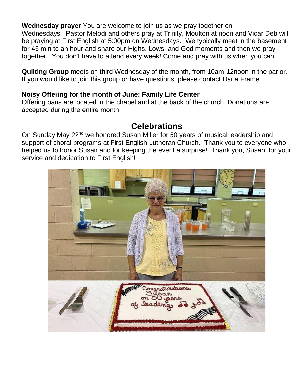**Wednesday prayer** You are welcome to join us as we pray together on Wednesdays. Pastor Melodi and others pray at Trinity, Moulton at noon and Vicar Deb will be praying at First English at 5:00pm on Wednesdays. We typically meet in the basement for 45 min to an hour and share our Highs, Lows, and God moments and then we pray together. You don't have to attend every week! Come and pray with us when you can.

**Quilting Group** meets on third Wednesday of the month, from 10am-12noon in the parlor. If you would like to join this group or have questions, please contact Darla Frame.

#### **Noisy Offering for the month of June: Family Life Center**

Offering pans are located in the chapel and at the back of the church. Donations are accepted during the entire month.

## **Celebrations**

On Sunday May 22<sup>nd</sup> we honored Susan Miller for 50 years of musical leadership and support of choral programs at First English Lutheran Church. Thank you to everyone who helped us to honor Susan and for keeping the event a surprise! Thank you, Susan, for your service and dedication to First English!

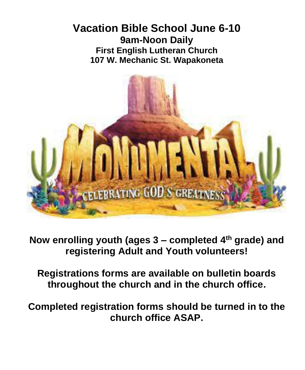## **Vacation Bible School June 6-10 9am-Noon Daily First English Lutheran Church 107 W. Mechanic St. Wapakoneta**



**Now enrolling youth (ages 3 – completed 4th grade) and registering Adult and Youth volunteers!**

**Registrations forms are available on bulletin boards throughout the church and in the church office.** 

**Completed registration forms should be turned in to the church office ASAP.**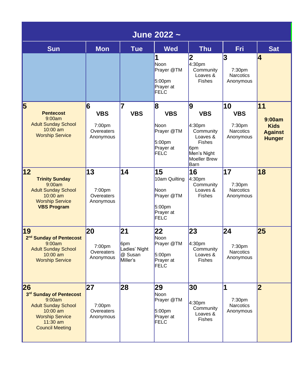| June 2022 ~                                                                                                                                                       |                                                      |                                                                |                                                                                         |                                                                                                                                      |                                                             |                                                                |
|-------------------------------------------------------------------------------------------------------------------------------------------------------------------|------------------------------------------------------|----------------------------------------------------------------|-----------------------------------------------------------------------------------------|--------------------------------------------------------------------------------------------------------------------------------------|-------------------------------------------------------------|----------------------------------------------------------------|
| <b>Sun</b>                                                                                                                                                        | <b>Mon</b>                                           | <b>Tue</b>                                                     | <b>Wed</b>                                                                              | <b>Thu</b>                                                                                                                           | <b>Fri</b>                                                  | <b>Sat</b>                                                     |
|                                                                                                                                                                   |                                                      |                                                                | 1<br><b>Noon</b><br>Prayer @TM<br>5.00 <sub>pm</sub><br>Prayer at<br>FELC               | 2 <br>4:30pm<br>Community<br>Loaves &<br><b>Fishes</b>                                                                               | 3<br>7:30pm<br><b>Narcotics</b><br>Anonymous                | 4                                                              |
| 5<br><b>Pentecost</b><br>9:00am<br><b>Adult Sunday School</b><br>$10:00$ am<br><b>Worship Service</b>                                                             | 6<br><b>VBS</b><br>7:00pm<br>Overeaters<br>Anonymous | 7<br><b>VBS</b>                                                | 8<br><b>VBS</b><br>Noon<br>Prayer @TM<br>5.00 <sub>pm</sub><br>Prayer at<br><b>FELC</b> | 9<br><b>VBS</b><br>4:30pm<br>Community<br>Loaves &<br><b>Fishes</b><br>6 <sub>pm</sub><br>Men's Night<br><b>Moeller Brew</b><br>Barn | 10<br><b>VBS</b><br>7:30pm<br><b>Narcotics</b><br>Anonymous | 11<br>9:00am<br><b>Kids</b><br><b>Against</b><br><b>Hunger</b> |
| 12 <br><b>Trinity Sunday</b><br>9:00am<br><b>Adult Sunday School</b><br>$10:00$ am<br><b>Worship Service</b><br><b>VBS Program</b>                                | 13<br>7:00pm<br>Overeaters<br>Anonymous              | 14                                                             | 15<br>10am Quilting<br>Noon<br>Prayer @TM<br>5:00 <sub>pm</sub><br>Prayer at<br>FELC    | 16<br>4:30pm<br>Community<br>Loaves &<br><b>Fishes</b>                                                                               | 17<br>7:30pm<br><b>Narcotics</b><br>Anonymous               | 18                                                             |
| 19<br>2 <sup>nd</sup> Sunday of Pentecost<br>9:00am<br><b>Adult Sunday School</b><br>$10:00$ am<br><b>Worship Service</b>                                         | 20<br>7:00pm<br>Overeaters<br>Anonymous              | $\overline{21}$<br>6pm<br>Ladies' Night<br>@ Susan<br>Miller's | 22<br>Noon<br>Prayer @TM<br>5:00 <sub>pm</sub><br>Prayer at<br><b>FELC</b>              | 23<br>4:30pm<br>Community<br>Loaves &<br><b>Fishes</b>                                                                               | 24<br>7:30pm<br><b>Narcotics</b><br>Anonymous               | 25                                                             |
| 26<br>3 <sup>rd</sup> Sunday of Pentecost<br>9:00am<br><b>Adult Sunday School</b><br>$10:00$ am<br><b>Worship Service</b><br>$11:30$ am<br><b>Council Meeting</b> | 27<br>7:00 <sub>pm</sub><br>Overeaters<br>Anonymous  | 28                                                             | 29<br>Noon<br>Prayer @TM<br>5:00 <sub>pm</sub><br>Prayer at<br>FELC                     | 30<br>4:30pm<br>Community<br>Loaves &<br><b>Fishes</b>                                                                               | 1<br>7:30pm<br><b>Narcotics</b><br>Anonymous                | $\overline{\mathbf{2}}$                                        |